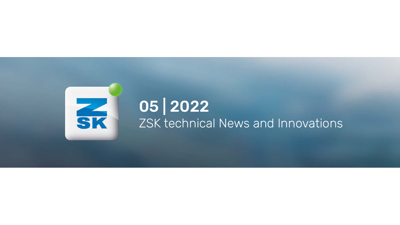

# ZSK technical News and Innovations

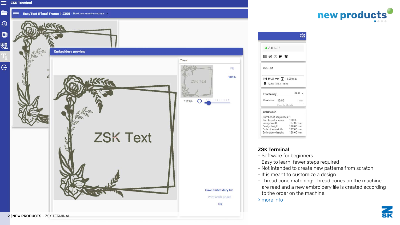$\equiv$ 

Ē



| > ZSK Text 1                                                                                                        |                   |                        |
|---------------------------------------------------------------------------------------------------------------------|-------------------|------------------------|
| ⊞ ⊕ <b>ම ¢</b> \$                                                                                                   |                   |                        |
| <b>ZSK Text</b>                                                                                                     |                   |                        |
|                                                                                                                     |                   |                        |
| $\leftrightarrow$ 59.21 mm $\overline{1}$ 10.00 mm<br>42.07:54.71 mm                                                |                   |                        |
| Font family                                                                                                         |                   | Arial -                |
| Font size 10.00                                                                                                     |                   | mm                     |
|                                                                                                                     | Enter font height |                        |
|                                                                                                                     |                   |                        |
|                                                                                                                     |                   |                        |
|                                                                                                                     |                   | 13086                  |
|                                                                                                                     |                   | 127.00 mm              |
| Information<br>Number of sequences: 1<br>Number of stiches:<br>Design width:<br>Design height:<br>Embroidery width: |                   | 128.00 mm<br>127.00 mm |

#### ZSK Terminal

- Software for beginners
- Easy to learn, fewer steps required
- Not intended to create new patterns from scratch
- It is meant to customize a design
- Thread cone matching: Thread cones on the machine are read and a new embroidery file is created according to the order on the machine.
- [> more info](https://www.zsk.de/de/software/app-world.php)

# **new products**





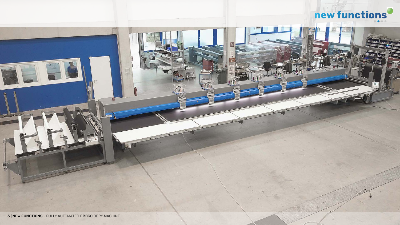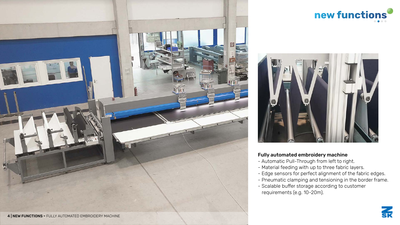#### Fully automated embroidery machine

- Automatic Pull-Through from left to right.
- Material feeding with up to three fabric layers.
- Edge sensors for perfect alignment of the fabric edges.
- Pneumatic clamping and tensioning in the border frame.
- Scalable buffer storage according to customer requirements (e.g. 10-20m).







## **new functions**





4 | NEW FUNCTIONS **-** FULLY AUTOMATED EMBROIDERY MACHINE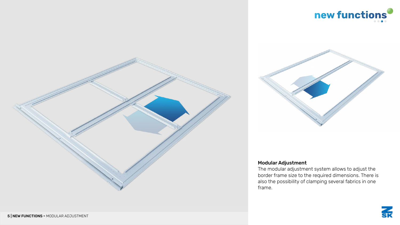

## **new functions**



## Modular Adjustment

The modular adjustment system allows to adjust the border frame size to the required dimensions. There is also the possibility of clamping several fabrics in one frame.



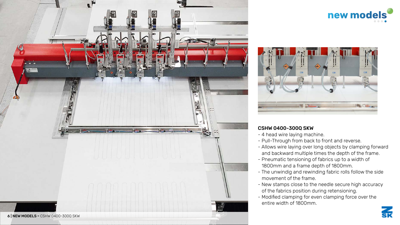## **new models**



## CSHW 0400-300Q SKW

- 4 head wire laying machine.
- Pull-Through from back to front and reverse.
- Allows wire laying over long objects by clamping forward and backward multiple times the depth of the frame.
- Pneumatic tensioning of fabrics up to a width of 1800mm and a frame depth of 1800mm.
- The unwindig and rewinding fabric rolls follow the side movement of the frame.
- New stamps close to the needle secure high accuracy of the fabrics position during retensioning.
- Modified clamping for even clamping force over the entire width of 1800mm.











**SK**